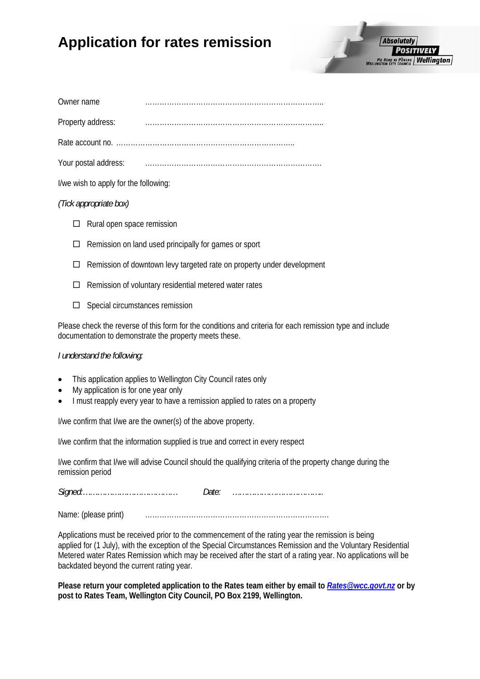# **Application for rates remission**

| Owner name           |  |
|----------------------|--|
| Property address:    |  |
|                      |  |
| Your postal address: |  |
|                      |  |

I/we wish to apply for the following:

### *(Tick appropriate box)*

- $\Box$  Rural open space remission
- $\Box$  Remission on land used principally for games or sport
- $\Box$  Remission of downtown levy targeted rate on property under development
- $\Box$  Remission of voluntary residential metered water rates
- $\square$  Special circumstances remission

Please check the reverse of this form for the conditions and criteria for each remission type and include documentation to demonstrate the property meets these.

#### *I understand the following:*

- This application applies to Wellington City Council rates only
- My application is for one year only
- I must reapply every year to have a remission applied to rates on a property

I/we confirm that I/we are the owner(s) of the above property.

I/we confirm that the information supplied is true and correct in every respect

I/we confirm that I/we will advise Council should the qualifying criteria of the property change during the remission period

*Signed:………………………………… Date: ………………………………..* 

Name: (please print) ………………………………………………………………….

Applications must be received prior to the commencement of the rating year the remission is being applied for (1 July), with the exception of the Special Circumstances Remission and the Voluntary Residential Metered water Rates Remission which may be received after the start of a rating year. No applications will be backdated beyond the current rating year.

**Please return your completed application to the Rates team either by email to** *[Rates@wcc.govt.nz](mailto:Rates@wcc.govt.nz)* **or by post to Rates Team, Wellington City Council, PO Box 2199, Wellington.**